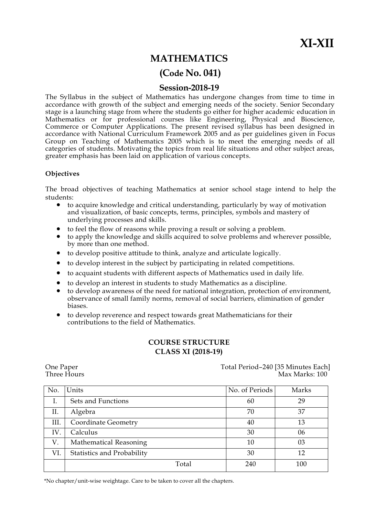# **MATHEMATICS**

# **(Code No. 041)**

# **Session-2018-19**

The Syllabus in the subject of Mathematics has undergone changes from time to time in accordance with growth of the subject and emerging needs of the society. Senior Secondary stage is a launching stage from where the students go either for higher academic education in Mathematics or for professional courses like Engineering, Physical and Bioscience, Commerce or Computer Applications. The present revised syllabus has been designed in accordance with National Curriculum Framework 2005 and as per guidelines given in Focus Group on Teaching of Mathematics 2005 which is to meet the emerging needs of all categories of students. Motivating the topics from real life situations and other subject areas, greater emphasis has been laid on application of various concepts.

## **Objectives**

The broad objectives of teaching Mathematics at senior school stage intend to help the students:

- to acquire knowledge and critical understanding, particularly by way of motivation and visualization, of basic concepts, terms, principles, symbols and mastery of underlying processes and skills.
- to feel the flow of reasons while proving a result or solving a problem.
- to apply the knowledge and skills acquired to solve problems and wherever possible, by more than one method.
- to develop positive attitude to think, analyze and articulate logically.
- to develop interest in the subject by participating in related competitions.
- to acquaint students with different aspects of Mathematics used in daily life.
- to develop an interest in students to study Mathematics as a discipline.
- to develop awareness of the need for national integration, protection of environment, observance of small family norms, removal of social barriers, elimination of gender biases.
- to develop reverence and respect towards great Mathematicians for their contributions to the field of Mathematics.

# **COURSE STRUCTURE CLASS XI (2018-19)**

One Paper<br>Total Period–240 [35 Minutes Each]<br>Three Hours Max Marks: 100 Max Marks: 100

| No.  | Units                      | No. of Periods | Marks |
|------|----------------------------|----------------|-------|
| Ι.   | Sets and Functions         | 60             | 29    |
| Π.   | Algebra                    | 70             | 37    |
| III. | Coordinate Geometry        | 40             | 13    |
| IV.  | Calculus                   | 30             | 06    |
| V.   | Mathematical Reasoning     | 10             | 03    |
| VI.  | Statistics and Probability | 30             | 12    |
|      | Total                      | 240            | 100   |

\*No chapter/unit-wise weightage. Care to be taken to cover all the chapters.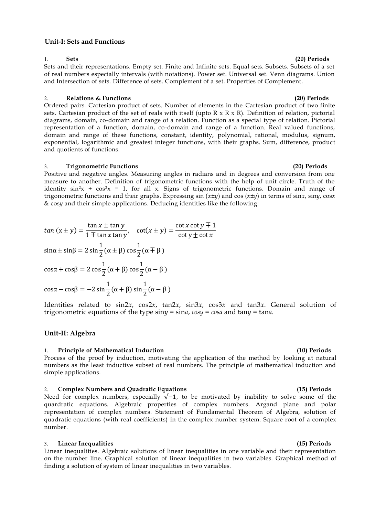## **Unit-I: Sets and Functions**

Sets and their representations. Empty set. Finite and Infinite sets. Equal sets. Subsets. Subsets of a set of real numbers especially intervals (with notations). Power set. Universal set. Venn diagrams. Union and Intersection of sets. Difference of sets. Complement of a set. Properties of Complement.

## 2. **Relations & Functions (20) Periods**

Ordered pairs. Cartesian product of sets. Number of elements in the Cartesian product of two finite sets. Cartesian product of the set of reals with itself (upto  $R \times R \times R$ ). Definition of relation, pictorial diagrams, domain, co-domain and range of a relation. Function as a special type of relation. Pictorial representation of a function, domain, co-domain and range of a function. Real valued functions, domain and range of these functions, constant, identity, polynomial, rational, modulus, signum, exponential, logarithmic and greatest integer functions, with their graphs. Sum, difference, product and quotients of functions.

## 3. **Trigonometric Functions (20) Periods**

Positive and negative angles. Measuring angles in radians and in degrees and conversion from one measure to another. Definition of trigonometric functions with the help of unit circle. Truth of the identity  $\sin^2 x + \cos^2 x = 1$ , for all x. Signs of trigonometric functions. Domain and range of trigonometric functions and their graphs. Expressing sin (*x±y*) and cos (*x±y*) in terms of sin*x*, sin*y*, cos*x*  & cos*y* and their simple applications. Deducing identities like the following:

 $tan(x \pm y) =$ t  $\frac{\tan x \pm \tan y}{1 \mp \tan x \tan y}$ ,  $\cot(x \pm y) =$  $\mathbf{C}$  $\mathbf{C}$ s  $\mathbf{1}$  $\frac{1}{2}(\alpha \pm \beta)$  c  $\mathbf{1}$  $\frac{1}{2}(\alpha \mp \beta)$  $\mathbf{c}$  $\mathbf{1}$  $\frac{1}{2}(\alpha + \beta)$  c  $\mathbf{1}$  $\frac{1}{2}(\alpha - \beta)$ 

$$
\cos\alpha - \cos\beta = -2\sin\frac{1}{2}(\alpha + \beta)\sin\frac{1}{2}(\alpha - \beta)
$$

Identities related to sin2*x*, cos2*x*, tan2*x*, sin3*x*, cos3*x* and tan3*x*. General solution of trigonometric equations of the type sin*y* = sin*a*, *cosy* = *cosa* and tan*y* = tan*a*.

## **Unit-II: Algebra**

## 1. **Principle of Mathematical Induction (10) Periods**

Process of the proof by induction, motivating the application of the method by looking at natural numbers as the least inductive subset of real numbers. The principle of mathematical induction and simple applications.

## 2. **Complex Numbers and Quadratic Equations (15) Periods**

Need for complex numbers, especially  $\sqrt{-1}$ , to be motivated by inability to solve some of the quardratic equations. Algebraic properties of complex numbers. Argand plane and polar representation of complex numbers. Statement of Fundamental Theorem of Algebra, solution of quadratic equations (with real coefficients) in the complex number system. Square root of a complex number.

## 3. **Linear Inequalities (15) Periods**

Linear inequalities. Algebraic solutions of linear inequalities in one variable and their representation on the number line. Graphical solution of linear inequalities in two variables. Graphical method of finding a solution of system of linear inequalities in two variables.

# 1. **Sets (20) Periods**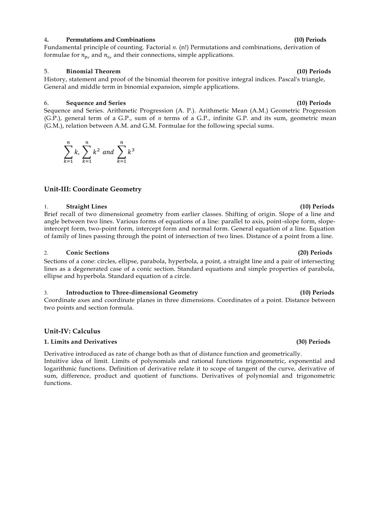## 4**. Permutations and Combinations (10) Periods**

Fundamental principle of counting. Factorial *n.* (n!) Permutations and combinations, derivation of formulae for  $n_{p_r}$  and  $n_{c_r}$  and their connections, simple applications.

## 5. **Binomial Theorem (10) Periods**

History, statement and proof of the binomial theorem for positive integral indices. Pascal's triangle, General and middle term in binomial expansion, simple applications.

## 6. **Sequence and Series (10) Periods**

Sequence and Series. Arithmetic Progression (A. P.). Arithmetic Mean (A.M.) Geometric Progression (G.P.), general term of a G.P., sum of *n* terms of a G.P., infinite G.P. and its sum, geometric mean (G.M.), relation between A.M. and G.M. Formulae for the following special sums.

## **Unit-III: Coordinate Geometry**

 $\sum k^2$  $\boldsymbol{n}$ 

and  $\sum k^3$  $\boldsymbol{n}$ 

 $\boldsymbol{k}$ 

 $\boldsymbol{k}$ 

# 1. **Straight Lines (10) Periods**

**∑** k  $\boldsymbol{n}$ 

 $\boldsymbol{k}$ 

Brief recall of two dimensional geometry from earlier classes. Shifting of origin. Slope of a line and angle between two lines. Various forms of equations of a line: parallel to axis, point-slope form, slopeintercept form, two-point form, intercept form and normal form. General equation of a line. Equation of family of lines passing through the point of intersection of two lines. Distance of a point from a line.

## 2. **Conic Sections (20) Periods**

Sections of a cone: circles, ellipse, parabola, hyperbola, a point, a straight line and a pair of intersecting lines as a degenerated case of a conic section. Standard equations and simple properties of parabola, ellipse and hyperbola. Standard equation of a circle.

## 3. **Introduction to Three-dimensional Geometry (10) Periods**

Coordinate axes and coordinate planes in three dimensions. Coordinates of a point. Distance between two points and section formula.

## **Unit-IV: Calculus**

## **1. Limits and Derivatives (30) Periods**

Derivative introduced as rate of change both as that of distance function and geometrically. Intuitive idea of limit. Limits of polynomials and rational functions trigonometric, exponential and logarithmic functions. Definition of derivative relate it to scope of tangent of the curve, derivative of sum, difference, product and quotient of functions. Derivatives of polynomial and trigonometric functions.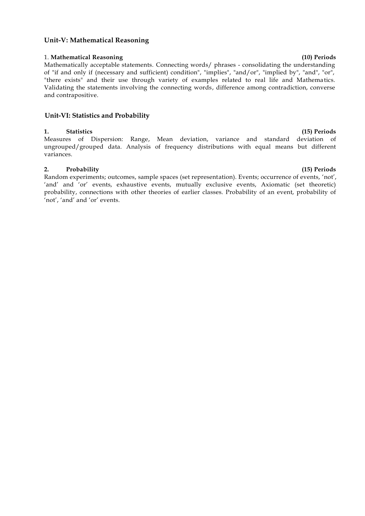## **Unit-V: Mathematical Reasoning**

## 1. **Mathematical Reasoning (10) Periods**

Mathematically acceptable statements. Connecting words/ phrases - consolidating the understanding of "if and only if (necessary and sufficient) condition", "implies", "and/or", "implied by", "and", "or", "there exists" and their use through variety of examples related to real life and Mathema tics. Validating the statements involving the connecting words, difference among contradiction, converse and contrapositive.

## **Unit-VI: Statistics and Probability**

## **1. Statistics (15) Periods**

Measures of Dispersion: Range, Mean deviation, variance and standard deviation of ungrouped/grouped data. Analysis of frequency distributions with equal means but different variances.

## **2. Probability (15) Periods**

Random experiments; outcomes, sample spaces (set representation). Events; occurrence of events, 'not', 'and' and 'or' events, exhaustive events, mutually exclusive events, Axiomatic (set theoretic) probability, connections with other theories of earlier classes. Probability of an event, probability of 'not', 'and' and 'or' events.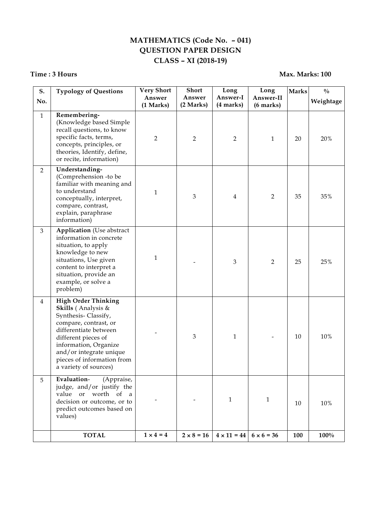# **MATHEMATICS (Code No. – 041) QUESTION PAPER DESIGN CLASS – XI (2018-19)**

# **Time : 3 Hours Max. Marks: 100**

| S.<br>No.      | <b>Typology of Questions</b>                                                                                                                                                                                                                                | <b>Very Short</b><br>Answer<br>(1 Marks) | <b>Short</b><br>Answer<br>(2 Marks) | Long<br>Answer-I<br>(4 marks) | Long<br>Answer-II<br>(6 marks) | <b>Marks</b> | $\frac{0}{0}$<br>Weightage |
|----------------|-------------------------------------------------------------------------------------------------------------------------------------------------------------------------------------------------------------------------------------------------------------|------------------------------------------|-------------------------------------|-------------------------------|--------------------------------|--------------|----------------------------|
| $\mathbf{1}$   | Remembering-<br>(Knowledge based Simple<br>recall questions, to know<br>specific facts, terms,<br>concepts, principles, or<br>theories, Identify, define,<br>or recite, information)                                                                        | $\overline{2}$                           | $\overline{2}$                      | $\overline{2}$                | $\mathbf{1}$                   | 20           | 20%                        |
| $\overline{2}$ | Understanding-<br>(Comprehension -to be<br>familiar with meaning and<br>to understand<br>conceptually, interpret,<br>compare, contrast,<br>explain, paraphrase<br>information)                                                                              | $\mathbf{1}$                             | 3                                   | $\bf 4$                       | $\overline{2}$                 | 35           | 35%                        |
| $\overline{3}$ | <b>Application</b> (Use abstract<br>information in concrete<br>situation, to apply<br>knowledge to new<br>situations, Use given<br>content to interpret a<br>situation, provide an<br>example, or solve a<br>problem)                                       | $\mathbf{1}$                             |                                     | $\mathfrak{Z}$                | $\overline{2}$                 | 25           | 25%                        |
| $\overline{4}$ | <b>High Order Thinking</b><br>Skills (Analysis &<br>Synthesis-Classify,<br>compare, contrast, or<br>differentiate between<br>different pieces of<br>information, Organize<br>and/or integrate unique<br>pieces of information from<br>a variety of sources) |                                          | 3                                   | $\mathbf{1}$                  |                                | 10           | 10%                        |
| 5              | Evaluation-<br>(Appraise,<br>judge, and/or justify the<br>value or worth of a<br>decision or outcome, or to<br>predict outcomes based on<br>values)                                                                                                         |                                          |                                     | $\mathbf{1}$                  | $\mathbf{1}$                   | 10           | 10%                        |
|                | <b>TOTAL</b>                                                                                                                                                                                                                                                | $1 \times 4 = 4$                         | $2 \times 8 = 16$                   | $4 \times 11 = 44$            | $6 \times 6 = 36$              | 100          | 100%                       |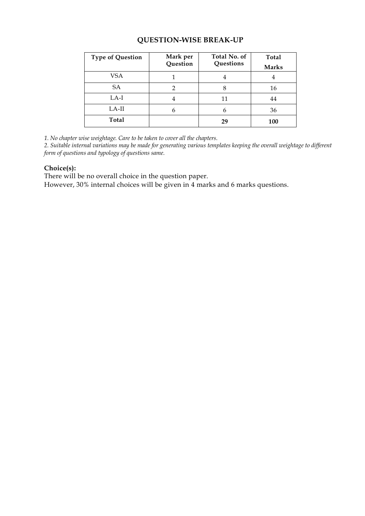# **QUESTION-WISE BREAK-UP**

| <b>Type of Question</b> | Total No. of<br>Mark per |           | <b>Total</b> |
|-------------------------|--------------------------|-----------|--------------|
|                         | Question                 | Questions | <b>Marks</b> |
| <b>VSA</b>              |                          | 4         | ÷            |
| SA                      |                          | 8         | 16           |
| $LA-I$                  | 4                        | 11        | 44           |
| $LA-II$                 | n                        | 6         | 36           |
| Total                   |                          | 29        | 100          |

*1. No chapter wise weightage. Care to be taken to cover all the chapters.*

*2. Suitable internal variations may be made for generating various templates keeping the overall weightage to different form of questions and typology of questions same.*

# **Choice(s):**

There will be no overall choice in the question paper.

However, 30% internal choices will be given in 4 marks and 6 marks questions.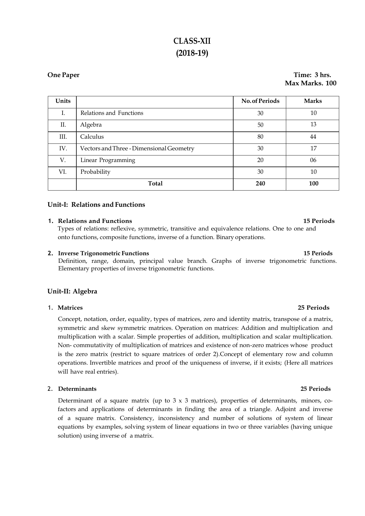# **CLASS-XII (2018-19)**

## **One Paper Time: 3 hrs. Max Marks. 100**

| Units |                                          | <b>No. of Periods</b> | <b>Marks</b> |
|-------|------------------------------------------|-----------------------|--------------|
| Ι.    | Relations and Functions                  | 30                    | 10           |
| Π.    | Algebra                                  | 50                    | 13           |
| Ш.    | Calculus                                 | 80                    | 44           |
| IV.   | Vectors and Three - Dimensional Geometry | 30                    | 17           |
| V.    | Linear Programming                       | 20                    | 06           |
| VI.   | Probability                              | 30                    | 10           |
|       | <b>Total</b>                             | 240                   | 100          |

## **Unit-I: Relations and Functions**

## **1. Relations and Functions 15 Periods**

Types of relations: reflexive, symmetric, transitive and equivalence relations. One to one and onto functions, composite functions, inverse of a function. Binary operations.

## **2. Inverse Trigonometric Functions 15 Periods**

Definition, range, domain, principal value branch. Graphs of inverse trigonometric functions. Elementary properties of inverse trigonometric functions.

## **Unit-II: Algebra**

## 1. **Matrices 25 Periods**

Concept, notation, order, equality, types of matrices, zero and identity matrix, transpose of a matrix, symmetric and skew symmetric matrices. Operation on matrices: Addition and multiplication and multiplication with a scalar. Simple properties of addition, multiplication and scalar multiplication. Non- commutativity of multiplication of matrices and existence of non-zero matrices whose product is the zero matrix (restrict to square matrices of order 2).Concept of elementary row and column operations. Invertible matrices and proof of the uniqueness of inverse, if it exists; (Here all matrices will have real entries).

## 2. **Determinants 25 Periods**

Determinant of a square matrix (up to  $3 \times 3$  matrices), properties of determinants, minors, cofactors and applications of determinants in finding the area of a triangle. Adjoint and inverse of a square matrix. Consistency, inconsistency and number of solutions of system of linear equations by examples, solving system of linear equations in two or three variables (having unique solution) using inverse of a matrix.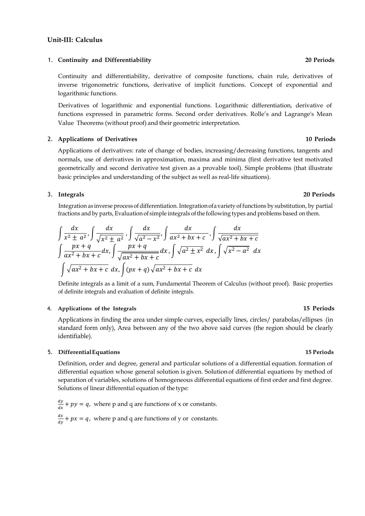## **Unit-III: Calculus**

## 1. **Continuity and Differentiability 20 Periods**

Continuity and differentiability, derivative of composite functions, chain rule, derivatives of inverse trigonometric functions, derivative of implicit functions. Concept of exponential and logarithmic functions.

Derivatives of logarithmic and exponential functions. Logarithmic differentiation, derivative of functions expressed in parametric forms. Second order derivatives. Rolle's and Lagrange's Mean Value Theorems (without proof) and their geometric interpretation.

## 2. **Applications of Derivatives 10 Periods**

Applications of derivatives: rate of change of bodies, increasing/decreasing functions, tangents and normals, use of derivatives in approximation, maxima and minima (first derivative test motivated geometrically and second derivative test given as a provable tool). Simple problems (that illustrate basic principles and understanding of the subject as well as real-life situations).

## 3. **Integrals 20 Periods**

Integration as inverse process of differentiation. Integration of a variety of functions by substitution, by partial fractions and by parts, Evaluation of simple integrals of the following types and problems based on them.

$$
\int \frac{dx}{x^2 \pm a^2}, \int \frac{dx}{\sqrt{x^2 \pm a^2}}, \int \frac{dx}{\sqrt{a^2 - x^2}}, \int \frac{dx}{ax^2 + bx + c}, \int \frac{dx}{\sqrt{ax^2 + bx + c}}
$$
\n
$$
\int \frac{px + q}{ax^2 + bx + c} dx, \int \frac{px + q}{\sqrt{ax^2 + bx + c}} dx, \int \sqrt{a^2 \pm x^2} dx, \int \sqrt{x^2 - a^2} dx
$$
\n
$$
\int \sqrt{ax^2 + bx + c} dx, \int (px + q) \sqrt{ax^2 + bx + c} dx
$$

Definite integrals as a limit of a sum, Fundamental Theorem of Calculus (without proof). Basic properties of definite integrals and evaluation of definite integrals.

## 4. **Applications of the Integrals 15 Periods**

Applications in finding the area under simple curves, especially lines, circles/ parabolas/ellipses (in standard form only), Area between any of the two above said curves (the region should be clearly identifiable).

## 5. **DifferentialEquations 15 Periods**

Definition, order and degree, general and particular solutions of a differential equation. formation of differential equation whose general solution is given. Solution of differential equations by method of separation of variables, solutions of homogeneous differential equations of first order and first degree. Solutions of linear differential equation of the type:

d  $\frac{dy}{dx} + py = q$ , where p and q are functions of x or constants. d  $\frac{dx}{dy}$  +  $px = q$ , where p and q are functions of y or constants.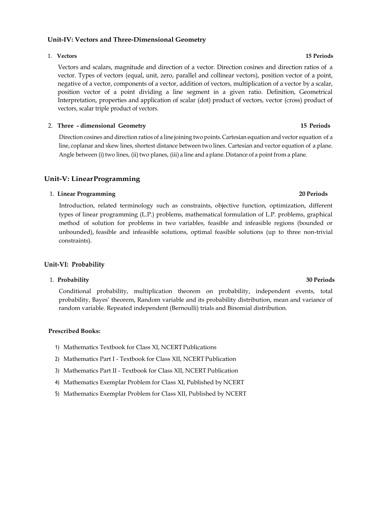## **Unit-IV: Vectors and Three-Dimensional Geometry**

## 1. **Vectors 15 Periods**

Vectors and scalars, magnitude and direction of a vector. Direction cosines and direction ratios of a vector. Types of vectors (equal, unit, zero, parallel and collinear vectors), position vector of a point, negative of a vector, components of a vector, addition of vectors, multiplication of a vector by a scalar, position vector of a point dividing a line segment in a given ratio. Definition, Geometrical Interpretation, properties and application of scalar (dot) product of vectors, vector (cross) product of vectors, scalar triple product of vectors.

## 2. **Three - dimensional Geometry 15 Periods**

Direction cosines and direction ratios of a line joining two points.Cartesian equation and vector equation of a line, coplanar and skew lines, shortest distance between two lines. Cartesian and vector equation of a plane. Angle between (i) two lines, (ii) two planes, (iii) a line and a plane. Distance of a point from a plane.

## **Unit-V: LinearProgramming**

## 1. **Linear Programming 20 Periods**

Introduction, related terminology such as constraints, objective function, optimization, different types of linear programming (L.P.) problems, mathematical formulation of L.P. problems, graphical method of solution for problems in two variables, feasible and infeasible regions (bounded or unbounded), feasible and infeasible solutions, optimal feasible solutions (up to three non-trivial constraints).

## **Unit-VI: Probability**

## 1. **Probability 30 Periods**

Conditional probability, multiplication theorem on probability, independent events, total probability, Bayes' theorem, Random variable and its probability distribution, mean and variance of random variable. Repeated independent (Bernoulli) trials and Binomial distribution.

## **Prescribed Books:**

- 1) Mathematics Textbook for Class XI, NCERTPublications
- 2) Mathematics Part I Textbook for Class XII, NCERT Publication
- 3) Mathematics Part II Textbook for Class XII, NCERT Publication
- 4) Mathematics Exemplar Problem for Class XI, Published by NCERT
- 5) Mathematics Exemplar Problem for Class XII, Published by NCERT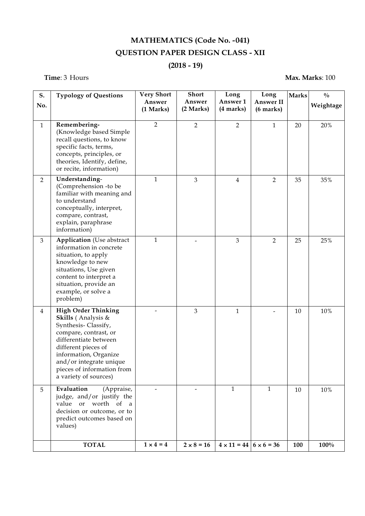# **MATHEMATICS (Code No. -041) QUESTION PAPER DESIGN CLASS - XII**

# **(2018 - 19)**

# **Time**: 3 Hours **Max. Marks**: 100

| S.<br>No.      | <b>Typology of Questions</b>                                                                                                                                                                                                                                | <b>Very Short</b><br>Answer | <b>Short</b><br>Answer | Long<br>Answer 1                     | Long<br><b>Answer II</b> | <b>Marks</b> | $\frac{0}{0}$<br>Weightage |
|----------------|-------------------------------------------------------------------------------------------------------------------------------------------------------------------------------------------------------------------------------------------------------------|-----------------------------|------------------------|--------------------------------------|--------------------------|--------------|----------------------------|
|                |                                                                                                                                                                                                                                                             | (1 Marks)                   | (2 Marks)              | (4 marks)                            | $(6 \text{ marks})$      |              |                            |
| $\mathbf{1}$   | Remembering-<br>(Knowledge based Simple<br>recall questions, to know<br>specific facts, terms,<br>concepts, principles, or<br>theories, Identify, define,<br>or recite, information)                                                                        | $\overline{2}$              | $\overline{2}$         | $\overline{2}$                       | $\mathbf{1}$             | 20           | 20%                        |
| $\overline{2}$ | Understanding-<br>(Comprehension -to be<br>familiar with meaning and<br>to understand<br>conceptually, interpret,<br>compare, contrast,<br>explain, paraphrase<br>information)                                                                              | $\mathbf{1}$                | $\overline{3}$         | $\overline{4}$                       | $\overline{2}$           | 35           | $35\%$                     |
| $\mathfrak{Z}$ | <b>Application</b> (Use abstract<br>information in concrete<br>situation, to apply<br>knowledge to new<br>situations, Use given<br>content to interpret a<br>situation, provide an<br>example, or solve a<br>problem)                                       | $\mathbf{1}$                |                        | $\overline{3}$                       | $\overline{2}$           | 25           | 25%                        |
| $\overline{4}$ | <b>High Order Thinking</b><br>Skills (Analysis &<br>Synthesis-Classify,<br>compare, contrast, or<br>differentiate between<br>different pieces of<br>information, Organize<br>and/or integrate unique<br>pieces of information from<br>a variety of sources) |                             | $\mathfrak{Z}$         | 1                                    |                          | 10           | 10%                        |
| 5              | Evaluation<br>(Appraise,<br>judge, and/or justify the<br>value or worth of a<br>decision or outcome, or to<br>predict outcomes based on<br>values)                                                                                                          | $\blacksquare$              | -                      | $\mathbf{1}$                         | $\mathbf{1}$             | 10           | $10\%$                     |
|                | <b>TOTAL</b>                                                                                                                                                                                                                                                | $1 \times 4 = 4$            | $2 \times 8 = 16$      | $4 \times 11 = 44$ $6 \times 6 = 36$ |                          | 100          | 100%                       |